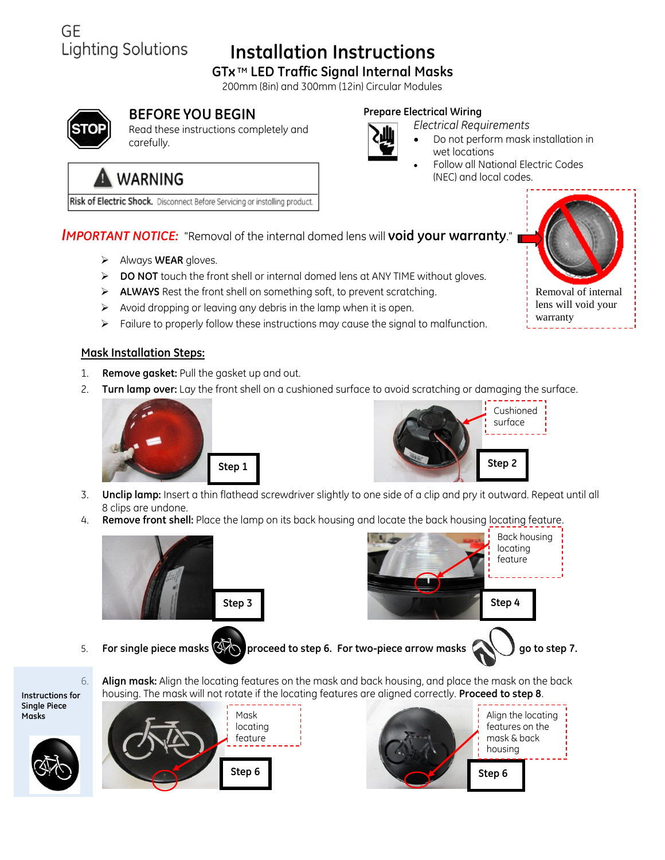# **Installation Instructions**

### **GTx TM LED Traffic Signal Internal Masks**

200mm (8in) and 300mm (12in) Circular Modules



GE

### **BEFORE YOU BEGIN**

Read these instructions completely and carefully.

#### **Prepare Electrical Wiring**

*Electrical Requirements*



- Do not perform mask installation in wet locations
- Follow all National Electric Codes (NEC) and local codes.

# **WARNING**

Lighting Solutions

Risk of Electric Shock. Disconnect Before Servicing or installing product.

### *IMPORTANT NOTICE:* "Removal of the internal domed lens will **void your warranty**."

- Always **WEAR** gloves.
- **DO NOT** touch the front shell or internal domed lens at ANY TIME without gloves.
- **ALWAYS** Rest the front shell on something soft, to prevent scratching.
- $\triangleright$  Avoid dropping or leaving any debris in the lamp when it is open.
- $\triangleright$  Failure to properly follow these instructions may cause the signal to malfunction.

#### **Mask Installation Steps:**

- 1. **Remove gasket:** Pull the gasket up and out.
- 2. **Turn lamp over:** Lay the front shell on a cushioned surface to avoid scratching or damaging the surface.





- 3. **Unclip lamp:** Insert a thin flathead screwdriver slightly to one side of a clip and pry it outward. Repeat until all 8 clips are undone.
- 4. **Remove front shell:** Place the lamp on its back housing and locate the back housing locating feature.



5. **For single piece masks**  $\bigotimes$  **proceed to step 6. For two-piece arrow masks good go to step 7.** 



Back housing locating feature

**Instructions for Single Piece Masks**